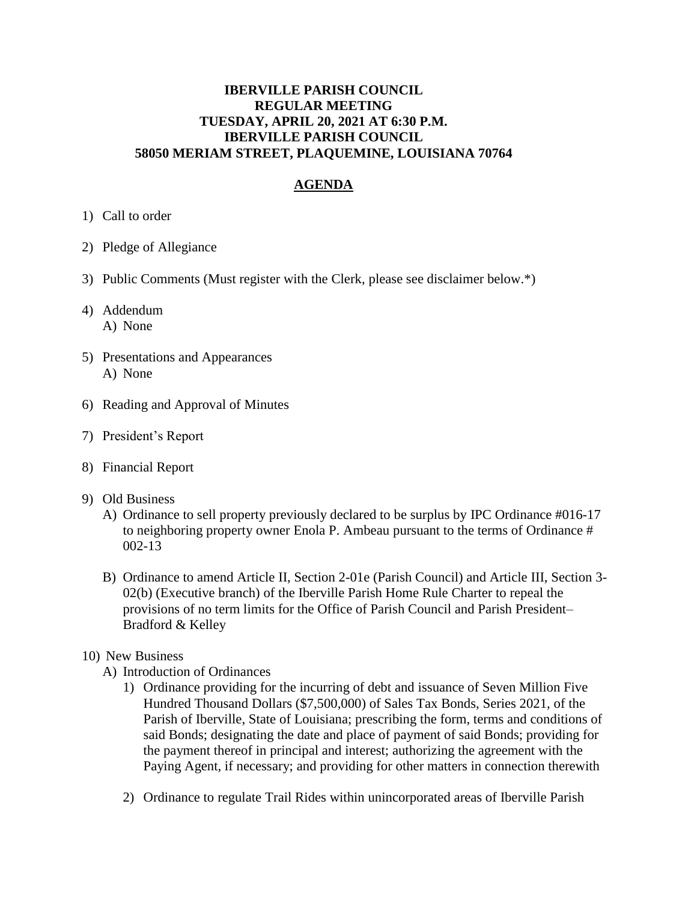## **IBERVILLE PARISH COUNCIL REGULAR MEETING TUESDAY, APRIL 20, 2021 AT 6:30 P.M. IBERVILLE PARISH COUNCIL 58050 MERIAM STREET, PLAQUEMINE, LOUISIANA 70764**

## **AGENDA**

- 1) Call to order
- 2) Pledge of Allegiance
- 3) Public Comments (Must register with the Clerk, please see disclaimer below.\*)
- 4) Addendum A) None
- 5) Presentations and Appearances A) None
- 6) Reading and Approval of Minutes
- 7) President's Report
- 8) Financial Report
- 9) Old Business
	- A) Ordinance to sell property previously declared to be surplus by IPC Ordinance #016-17 to neighboring property owner Enola P. Ambeau pursuant to the terms of Ordinance # 002-13
	- B) Ordinance to amend Article II, Section 2-01e (Parish Council) and Article III, Section 3- 02(b) (Executive branch) of the Iberville Parish Home Rule Charter to repeal the provisions of no term limits for the Office of Parish Council and Parish President– Bradford & Kelley

## 10) New Business

- A) Introduction of Ordinances
	- 1) Ordinance providing for the incurring of debt and issuance of Seven Million Five Hundred Thousand Dollars (\$7,500,000) of Sales Tax Bonds, Series 2021, of the Parish of Iberville, State of Louisiana; prescribing the form, terms and conditions of said Bonds; designating the date and place of payment of said Bonds; providing for the payment thereof in principal and interest; authorizing the agreement with the Paying Agent, if necessary; and providing for other matters in connection therewith
	- 2) Ordinance to regulate Trail Rides within unincorporated areas of Iberville Parish